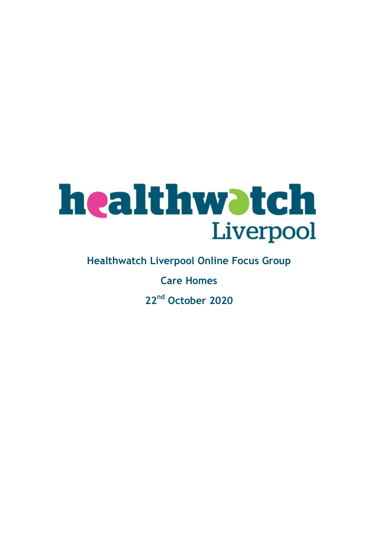# **healthwatch**<br>Liverpool

**Healthwatch Liverpool Online Focus Group**

**Care Homes**

**22nd October 2020**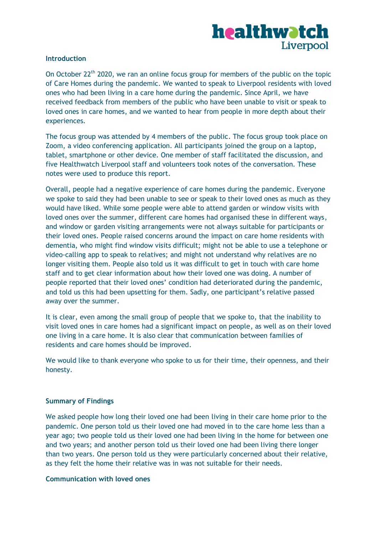# healthwatch Liverpool

#### **Introduction**

On October 22<sup>th</sup> 2020, we ran an online focus group for members of the public on the topic of Care Homes during the pandemic. We wanted to speak to Liverpool residents with loved ones who had been living in a care home during the pandemic. Since April, we have received feedback from members of the public who have been unable to visit or speak to loved ones in care homes, and we wanted to hear from people in more depth about their experiences.

The focus group was attended by 4 members of the public. The focus group took place on Zoom, a video conferencing application. All participants joined the group on a laptop, tablet, smartphone or other device. One member of staff facilitated the discussion, and five Healthwatch Liverpool staff and volunteers took notes of the conversation. These notes were used to produce this report.

Overall, people had a negative experience of care homes during the pandemic. Everyone we spoke to said they had been unable to see or speak to their loved ones as much as they would have liked. While some people were able to attend garden or window visits with loved ones over the summer, different care homes had organised these in different ways, and window or garden visiting arrangements were not always suitable for participants or their loved ones. People raised concerns around the impact on care home residents with dementia, who might find window visits difficult; might not be able to use a telephone or video-calling app to speak to relatives; and might not understand why relatives are no longer visiting them. People also told us it was difficult to get in touch with care home staff and to get clear information about how their loved one was doing. A number of people reported that their loved ones' condition had deteriorated during the pandemic, and told us this had been upsetting for them. Sadly, one participant's relative passed away over the summer.

It is clear, even among the small group of people that we spoke to, that the inability to visit loved ones in care homes had a significant impact on people, as well as on their loved one living in a care home. It is also clear that communication between families of residents and care homes should be improved.

We would like to thank everyone who spoke to us for their time, their openness, and their honesty.

## **Summary of Findings**

We asked people how long their loved one had been living in their care home prior to the pandemic. One person told us their loved one had moved in to the care home less than a year ago; two people told us their loved one had been living in the home for between one and two years; and another person told us their loved one had been living there longer than two years. One person told us they were particularly concerned about their relative, as they felt the home their relative was in was not suitable for their needs.

#### **Communication with loved ones**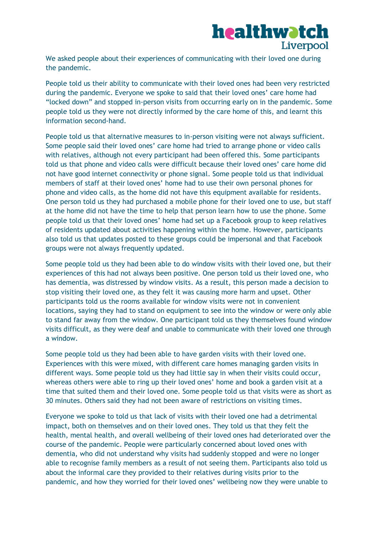

We asked people about their experiences of communicating with their loved one during the pandemic.

People told us their ability to communicate with their loved ones had been very restricted during the pandemic. Everyone we spoke to said that their loved ones' care home had "locked down" and stopped in-person visits from occurring early on in the pandemic. Some people told us they were not directly informed by the care home of this, and learnt this information second-hand.

People told us that alternative measures to in-person visiting were not always sufficient. Some people said their loved ones' care home had tried to arrange phone or video calls with relatives, although not every participant had been offered this. Some participants told us that phone and video calls were difficult because their loved ones' care home did not have good internet connectivity or phone signal. Some people told us that individual members of staff at their loved ones' home had to use their own personal phones for phone and video calls, as the home did not have this equipment available for residents. One person told us they had purchased a mobile phone for their loved one to use, but staff at the home did not have the time to help that person learn how to use the phone. Some people told us that their loved ones' home had set up a Facebook group to keep relatives of residents updated about activities happening within the home. However, participants also told us that updates posted to these groups could be impersonal and that Facebook groups were not always frequently updated.

Some people told us they had been able to do window visits with their loved one, but their experiences of this had not always been positive. One person told us their loved one, who has dementia, was distressed by window visits. As a result, this person made a decision to stop visiting their loved one, as they felt it was causing more harm and upset. Other participants told us the rooms available for window visits were not in convenient locations, saying they had to stand on equipment to see into the window or were only able to stand far away from the window. One participant told us they themselves found window visits difficult, as they were deaf and unable to communicate with their loved one through a window.

Some people told us they had been able to have garden visits with their loved one. Experiences with this were mixed, with different care homes managing garden visits in different ways. Some people told us they had little say in when their visits could occur, whereas others were able to ring up their loved ones' home and book a garden visit at a time that suited them and their loved one. Some people told us that visits were as short as 30 minutes. Others said they had not been aware of restrictions on visiting times.

Everyone we spoke to told us that lack of visits with their loved one had a detrimental impact, both on themselves and on their loved ones. They told us that they felt the health, mental health, and overall wellbeing of their loved ones had deteriorated over the course of the pandemic. People were particularly concerned about loved ones with dementia, who did not understand why visits had suddenly stopped and were no longer able to recognise family members as a result of not seeing them. Participants also told us about the informal care they provided to their relatives during visits prior to the pandemic, and how they worried for their loved ones' wellbeing now they were unable to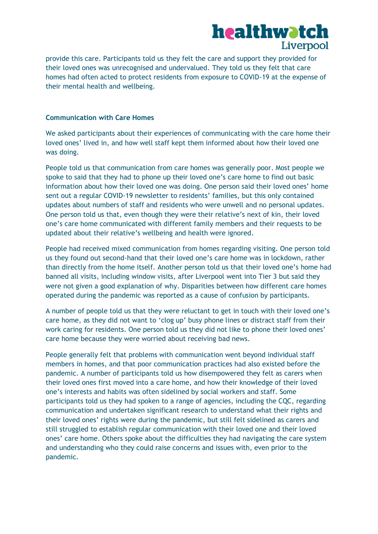

provide this care. Participants told us they felt the care and support they provided for their loved ones was unrecognised and undervalued. They told us they felt that care homes had often acted to protect residents from exposure to COVID-19 at the expense of their mental health and wellbeing.

### **Communication with Care Homes**

We asked participants about their experiences of communicating with the care home their loved ones' lived in, and how well staff kept them informed about how their loved one was doing.

People told us that communication from care homes was generally poor. Most people we spoke to said that they had to phone up their loved one's care home to find out basic information about how their loved one was doing. One person said their loved ones' home sent out a regular COVID-19 newsletter to residents' families, but this only contained updates about numbers of staff and residents who were unwell and no personal updates. One person told us that, even though they were their relative's next of kin, their loved one's care home communicated with different family members and their requests to be updated about their relative's wellbeing and health were ignored.

People had received mixed communication from homes regarding visiting. One person told us they found out second-hand that their loved one's care home was in lockdown, rather than directly from the home itself. Another person told us that their loved one's home had banned all visits, including window visits, after Liverpool went into Tier 3 but said they were not given a good explanation of why. Disparities between how different care homes operated during the pandemic was reported as a cause of confusion by participants.

A number of people told us that they were reluctant to get in touch with their loved one's care home, as they did not want to 'clog up' busy phone lines or distract staff from their work caring for residents. One person told us they did not like to phone their loved ones' care home because they were worried about receiving bad news.

People generally felt that problems with communication went beyond individual staff members in homes, and that poor communication practices had also existed before the pandemic. A number of participants told us how disempowered they felt as carers when their loved ones first moved into a care home, and how their knowledge of their loved one's interests and habits was often sidelined by social workers and staff. Some participants told us they had spoken to a range of agencies, including the CQC, regarding communication and undertaken significant research to understand what their rights and their loved ones' rights were during the pandemic, but still felt sidelined as carers and still struggled to establish regular communication with their loved one and their loved ones' care home. Others spoke about the difficulties they had navigating the care system and understanding who they could raise concerns and issues with, even prior to the pandemic.